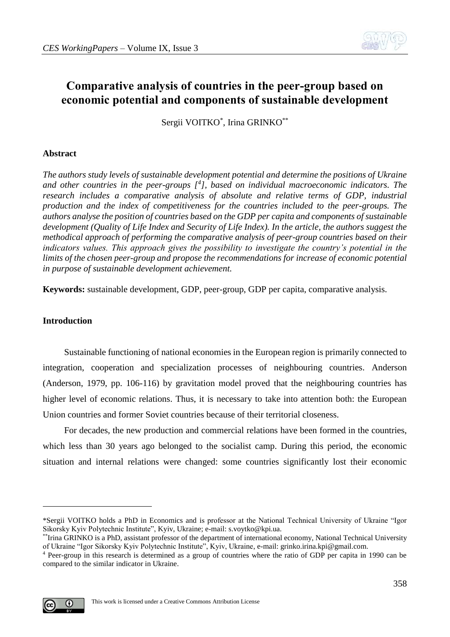

# **Comparative analysis of countries in the peer-group based on economic potential and components of sustainable development**

Sergii VOITKO\* , Irina GRINKO\*\*

# **Abstract**

*The authors study levels of sustainable development potential and determine the positions of Ukraine and other countries in the peer-groups [<sup>4</sup> ], based on individual macroeconomic indicators. The research includes a comparative analysis of absolute and relative terms of GDP, industrial production and the index of competitiveness for the countries included to the peer-groups. The authors analyse the position of countries based on the GDP per capita and components of sustainable development (Quality of Life Index and Security of Life Index). In the article, the authors suggest the methodical approach of performing the comparative analysis of peer-group countries based on their indicators values. This approach gives the possibility to investigate the country's potential in the limits of the chosen peer-group and propose the recommendations for increase of economic potential in purpose of sustainable development achievement.* 

**Keywords:** sustainable development, GDP, peer-group, GDP per capita, comparative analysis.

# **Introduction**

Sustainable functioning of national economies in the European region is primarily connected to integration, cooperation and specialization processes of neighbouring countries. Anderson (Anderson, 1979, pp. 106-116) by gravitation model proved that the neighbouring countries has higher level of economic relations. Thus, it is necessary to take into attention both: the European Union countries and former Soviet countries because of their territorial closeness.

For decades, the new production and commercial relations have been formed in the countries, which less than 30 years ago belonged to the socialist camp. During this period, the economic situation and internal relations were changed: some countries significantly lost their economic

<sup>4</sup> Peer-group in this research is determined as a group of countries where the ratio of GDP per capita in 1990 can be compared to the similar indicator in Ukraine.



1

<sup>\*</sup>Sergii VOITKO holds a PhD in Economics and is professor at the National Technical University of Ukraine "Igor Sikorsky Kyiv Polytechnic Institute", Kyiv, Ukraine; e-mail: s.voytko@kpi.ua.

<sup>\*\*</sup>Irina GRINKO is a PhD, assistant professor of the department of international economy, National Technical University of Ukraine "Igor Sikorsky Kyiv Polytechnic Institute", Kyiv, Ukraine, e-mail: grinko.irina.kpi@gmail.com.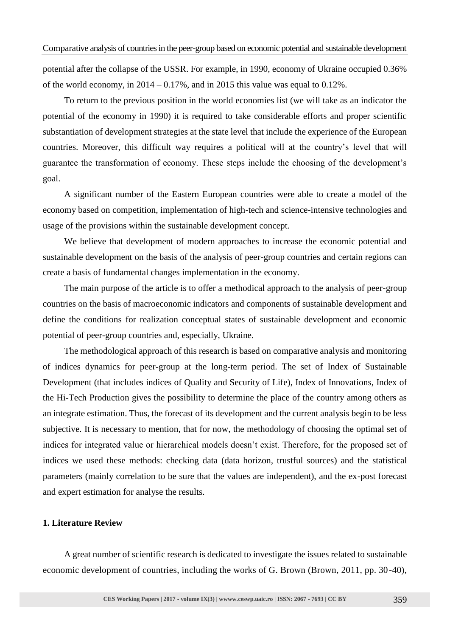potential after the collapse of the USSR. For example, in 1990, economy of Ukraine occupied 0.36% of the world economy, in  $2014 - 0.17\%$ , and in 2015 this value was equal to 0.12%.

To return to the previous position in the world economies list (we will take as an indicator the potential of the economy in 1990) it is required to take considerable efforts and proper scientific substantiation of development strategies at the state level that include the experience of the European countries. Moreover, this difficult way requires a political will at the country's level that will guarantee the transformation of economy. These steps include the choosing of the development's goal.

A significant number of the Eastern European countries were able to create a model of the economy based on competition, implementation of high-tech and science-intensive technologies and usage of the provisions within the sustainable development concept.

We believe that development of modern approaches to increase the economic potential and sustainable development on the basis of the analysis of peer-group countries and certain regions can create a basis of fundamental changes implementation in the economy.

The main purpose of the article is to offer a methodical approach to the analysis of peer-group countries on the basis of macroeconomic indicators and components of sustainable development and define the conditions for realization conceptual states of sustainable development and economic potential of peer-group countries and, especially, Ukraine.

The methodological approach of this research is based on comparative analysis and monitoring of indices dynamics for peer-group at the long-term period. The set of Index of Sustainable Development (that includes indices of Quality and Security of Life), Index of Innovations, Index of the Hi-Tech Production gives the possibility to determine the place of the country among others as an integrate estimation. Thus, the forecast of its development and the current analysis begin to be less subjective. It is necessary to mention, that for now, the methodology of choosing the optimal set of indices for integrated value or hierarchical models doesn't exist. Therefore, for the proposed set of indices we used these methods: checking data (data horizon, trustful sources) and the statistical parameters (mainly correlation to be sure that the values are independent), and the ex-post forecast and expert estimation for analyse the results.

## **1. Literature Review**

A great number of scientific research is dedicated to investigate the issues related to sustainable economic development of countries, including the works of G. Brown (Brown, 2011, pp. 30-40),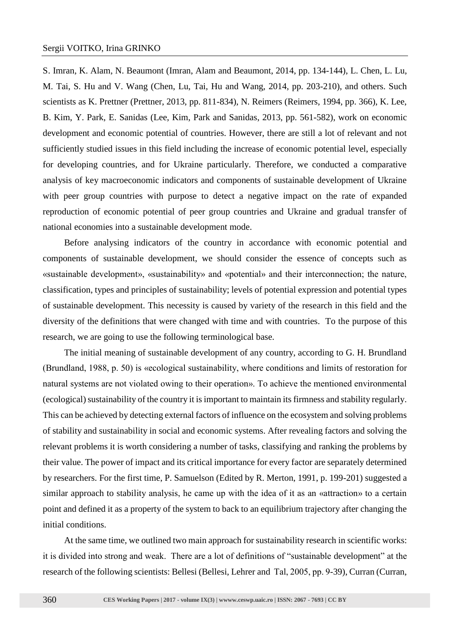S. Imran, K. Alam, N. Beaumont (Imran, Alam and Beaumont, 2014, pp. 134-144), L. Chen, L. Lu, M. Tai, S. Hu and V. Wang (Chen, Lu, Tai, Hu and Wang, 2014, pp. 203-210), and others. Such scientists as K. Prettner (Prettner, 2013, pp. 811-834), N. Reimers (Reimers, 1994, pp. 366), K. Lee, B. Kim, Y. Park, E. Sanidas (Lee, Kim, Park and Sanidas, 2013, pp. 561-582), work on economic development and economic potential of countries. However, there are still a lot of relevant and not sufficiently studied issues in this field including the increase of economic potential level, especially for developing countries, and for Ukraine particularly. Therefore, we conducted a comparative analysis of key macroeconomic indicators and components of sustainable development of Ukraine with peer group countries with purpose to detect a negative impact on the rate of expanded reproduction of economic potential of peer group countries and Ukraine and gradual transfer of national economies into a sustainable development mode.

Before analysing indicators of the country in accordance with economic potential and components of sustainable development, we should consider the essence of concepts such as «sustainable development», «sustainability» and «potential» and their interconnection; the nature, classification, types and principles of sustainability; levels of potential expression and potential types of sustainable development. This necessity is caused by variety of the research in this field and the diversity of the definitions that were changed with time and with countries. To the purpose of this research, we are going to use the following terminological base.

The initial meaning of sustainable development of any country, according to G. H. Brundland (Brundland, 1988, p. 50) is «ecological sustainability, where conditions and limits of restoration for natural systems are not violated owing to their operation». To achieve the mentioned environmental (ecological) sustainability of the country it is important to maintain its firmness and stability regularly. This can be achieved by detecting external factors of influence on the ecosystem and solving problems of stability and sustainability in social and economic systems. After revealing factors and solving the relevant problems it is worth considering a number of tasks, classifying and ranking the problems by their value. The power of impact and its critical importance for every factor are separately determined by researchers. For the first time, P. Samuelson (Edited by R. Merton, 1991, p. 199-201) suggested a similar approach to stability analysis, he came up with the idea of it as an «attraction» to a certain point and defined it as a property of the system to back to an equilibrium trajectory after changing the initial conditions.

At the same time, we outlined two main approach for sustainability research in scientific works: it is divided into strong and weak. There are a lot of definitions of "sustainable development" at the research of the following scientists: Bellesi (Bellesi, Lehrer and Tal, 2005, рр. 9-39), Curran (Curran,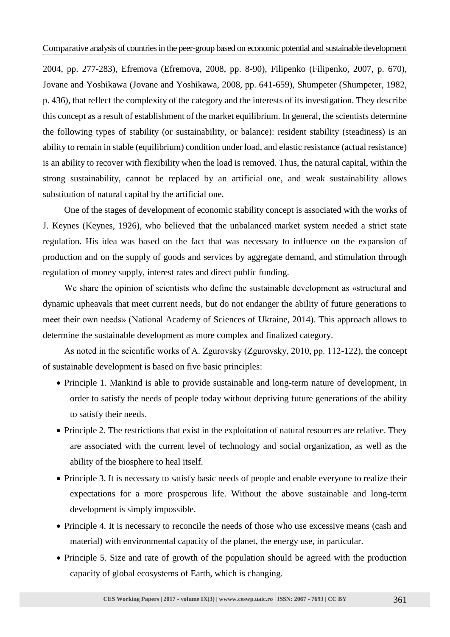2004, pp. 277-283), Efremova (Efremova, 2008, pp. 8-90), Filipenko (Filipenko, 2007, p. 670), Jovane and Yoshikawa (Jovane and Yoshikawa, 2008, pp. 641-659), Shumpeter (Shumpeter, 1982, p. 436), that reflect the complexity of the category and the interests of its investigation. They describe this concept as a result of establishment of the market equilibrium. In general, the scientists determine the following types of stability (or sustainability, or balance): resident stability (steadiness) is an ability to remain in stable (equilibrium) condition under load, and elastic resistance (actual resistance) is an ability to recover with flexibility when the load is removed. Thus, the natural capital, within the strong sustainability, cannot be replaced by an artificial one, and weak sustainability allows substitution of natural capital by the artificial one.

One of the stages of development of economic stability concept is associated with the works of J. Keynes (Keynes, 1926), who believed that the unbalanced market system needed a strict state regulation. His idea was based on the fact that was necessary to influence on the expansion of production and on the supply of goods and services by aggregate demand, and stimulation through regulation of money supply, interest rates and direct public funding.

We share the opinion of scientists who define the sustainable development as «structural and dynamic upheavals that meet current needs, but do not endanger the ability of future generations to meet their own needs» (National Academy of Sciences of Ukraine, 2014). This approach allows to determine the sustainable development as more complex and finalized category.

As noted in the scientific works of A. Zgurovsky (Zgurovsky, 2010, рр. 112-122), the concept of sustainable development is based on five basic principles:

- Principle 1. Mankind is able to provide sustainable and long-term nature of development, in order to satisfy the needs of people today without depriving future generations of the ability to satisfy their needs.
- Principle 2. The restrictions that exist in the exploitation of natural resources are relative. They are associated with the current level of technology and social organization, as well as the ability of the biosphere to heal itself.
- Principle 3. It is necessary to satisfy basic needs of people and enable everyone to realize their expectations for a more prosperous life. Without the above sustainable and long-term development is simply impossible.
- Principle 4. It is necessary to reconcile the needs of those who use excessive means (cash and material) with environmental capacity of the planet, the energy use, in particular.
- Principle 5. Size and rate of growth of the population should be agreed with the production capacity of global ecosystems of Earth, which is changing.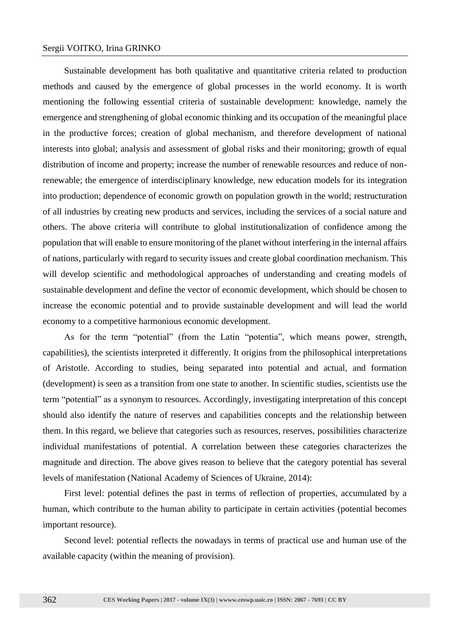## Sergii VOITKO, Irina GRINKO

Sustainable development has both qualitative and quantitative criteria related to production methods and caused by the emergence of global processes in the world economy. It is worth mentioning the following essential criteria of sustainable development: knowledge, namely the emergence and strengthening of global economic thinking and its occupation of the meaningful place in the productive forces; creation of global mechanism, and therefore development of national interests into global; analysis and assessment of global risks and their monitoring; growth of equal distribution of income and property; increase the number of renewable resources and reduce of nonrenewable; the emergence of interdisciplinary knowledge, new education models for its integration into production; dependence of economic growth on population growth in the world; restructuration of all industries by creating new products and services, including the services of a social nature and others. The above criteria will contribute to global institutionalization of confidence among the population that will enable to ensure monitoring of the planet without interfering in the internal affairs of nations, particularly with regard to security issues and create global coordination mechanism. This will develop scientific and methodological approaches of understanding and creating models of sustainable development and define the vector of economic development, which should be chosen to increase the economic potential and to provide sustainable development and will lead the world economy to a competitive harmonious economic development.

As for the term "potential" (from the Latin "potentia", which means power, strength, capabilities), the scientists interpreted it differently. It origins from the philosophical interpretations of Aristotle. According to studies, being separated into potential and actual, and formation (development) is seen as a transition from one state to another. In scientific studies, scientists use the term "potential" as a synonym to resources. Accordingly, investigating interpretation of this concept should also identify the nature of reserves and capabilities concepts and the relationship between them. In this regard, we believe that categories such as resources, reserves, possibilities characterize individual manifestations of potential. A correlation between these categories characterizes the magnitude and direction. The above gives reason to believe that the category potential has several levels of manifestation (National Academy of Sciences of Ukraine, 2014):

First level: potential defines the past in terms of reflection of properties, accumulated by a human, which contribute to the human ability to participate in certain activities (potential becomes important resource).

Second level: potential reflects the nowadays in terms of practical use and human use of the available capacity (within the meaning of provision).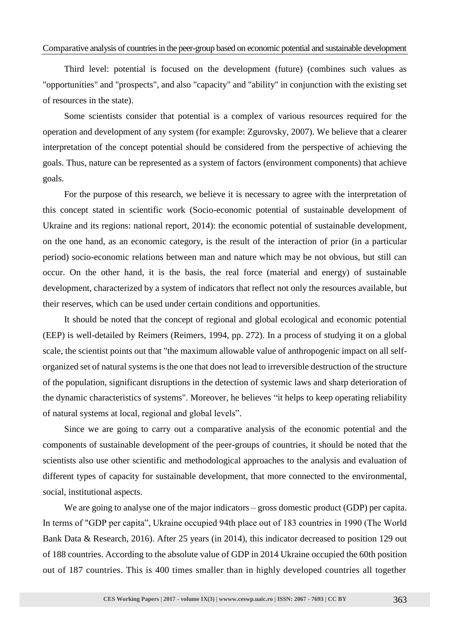## Comparative analysis of countries in the peer-group based on economic potential and sustainable development

Third level: potential is focused on the development (future) (combines such values as "opportunities" and "prospects", and also "capacity" and "ability" in conjunction with the existing set of resources in the state).

Some scientists consider that potential is a complex of various resources required for the operation and development of any system (for example: Zgurovsky, 2007). We believe that a clearer interpretation of the concept potential should be considered from the perspective of achieving the goals. Thus, nature can be represented as a system of factors (environment components) that achieve goals.

For the purpose of this research, we believe it is necessary to agree with the interpretation of this concept stated in scientific work (Socio-economic potential of sustainable development of Ukraine and its regions: national report, 2014): the economic potential of sustainable development, on the one hand, as an economic category, is the result of the interaction of prior (in a particular period) socio-economic relations between man and nature which may be not obvious, but still can occur. On the other hand, it is the basis, the real force (material and energy) of sustainable development, characterized by a system of indicators that reflect not only the resources available, but their reserves, which can be used under certain conditions and opportunities.

It should be noted that the concept of regional and global ecological and economic potential (EEP) is well-detailed by Reimers (Reimers, 1994, pp. 272). In a process of studying it on a global scale, the scientist points out that "the maximum allowable value of anthropogenic impact on all selforganized set of natural systems is the one that does not lead to irreversible destruction of the structure of the population, significant disruptions in the detection of systemic laws and sharp deterioration of the dynamic characteristics of systems". Moreover, he believes "it helps to keep operating reliability of natural systems at local, regional and global levels".

Since we are going to carry out a comparative analysis of the economic potential and the components of sustainable development of the peer-groups of countries, it should be noted that the scientists also use other scientific and methodological approaches to the analysis and evaluation of different types of capacity for sustainable development, that more connected to the environmental, social, institutional aspects.

We are going to analyse one of the major indicators – gross domestic product (GDP) per capita. In terms of "GDP per capita", Ukraine occupied 94th place out of 183 countries in 1990 (The World Bank Data & Research, 2016). After 25 years (in 2014), this indicator decreased to position 129 out of 188 countries. According to the absolute value of GDP in 2014 Ukraine occupied the 60th position out of 187 countries. This is 400 times smaller than in highly developed countries all together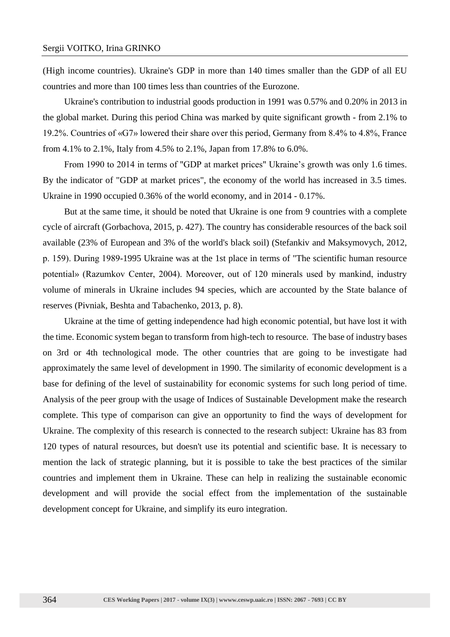(High income countries). Ukraine's GDP in more than 140 times smaller than the GDP of all EU countries and more than 100 times less than countries of the Eurozone.

Ukraine's contribution to industrial goods production in 1991 was 0.57% and 0.20% in 2013 in the global market. During this period China was marked by quite significant growth - from 2.1% to 19.2%. Countries of «G7» lowered their share over this period, Germany from 8.4% to 4.8%, France from 4.1% to 2.1%, Italy from 4.5% to 2.1%, Japan from 17.8% to 6.0%.

From 1990 to 2014 in terms of "GDP at market prices" Ukraine's growth was only 1.6 times. By the indicator of "GDP at market prices", the economy of the world has increased in 3.5 times. Ukraine in 1990 occupied 0.36% of the world economy, and in 2014 - 0.17%.

But at the same time, it should be noted that Ukraine is one from 9 countries with a complete cycle of aircraft (Gorbachova, 2015, p. 427). The country has considerable resources of the back soil available (23% of European and 3% of the world's black soil) (Stefankiv and Maksymovych, 2012, р. 159). During 1989-1995 Ukraine was at the 1st place in terms of "The scientific human resource potential» (Razumkov Center, 2004). Moreover, out of 120 minerals used by mankind, industry volume of minerals in Ukraine includes 94 species, which are accounted by the State balance of reserves (Pivniak, Beshta and Tabachenko, 2013, p. 8).

Ukraine at the time of getting independence had high economic potential, but have lost it with the time. Economic system began to transform from high-tech to resource. The base of industry bases on 3rd or 4th technological mode. The other countries that are going to be investigate had approximately the same level of development in 1990. The similarity of economic development is a base for defining of the level of sustainability for economic systems for such long period of time. Analysis of the peer group with the usage of Indices of Sustainable Development make the research complete. This type of comparison can give an opportunity to find the ways of development for Ukraine. The complexity of this research is connected to the research subject: Ukraine has 83 from 120 types of natural resources, but doesn't use its potential and scientific base. It is necessary to mention the lack of strategic planning, but it is possible to take the best practices of the similar countries and implement them in Ukraine. These can help in realizing the sustainable economic development and will provide the social effect from the implementation of the sustainable development concept for Ukraine, and simplify its euro integration.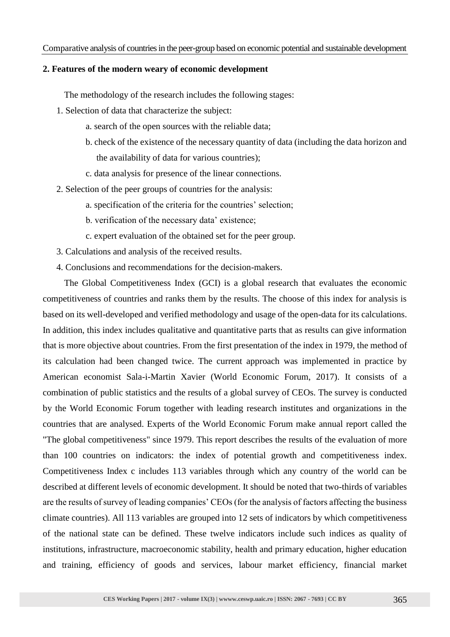## **2. Features of the modern weary of economic development**

The methodology of the research includes the following stages:

- 1. Selection of data that characterize the subject:
	- a. search of the open sources with the reliable data;
	- b. check of the existence of the necessary quantity of data (including the data horizon and the availability of data for various countries);
	- c. data analysis for presence of the linear connections.
- 2. Selection of the peer groups of countries for the analysis:
	- a. specification of the criteria for the countries' selection;
	- b. verification of the necessary data' existence;
	- c. expert evaluation of the obtained set for the peer group.
- 3. Calculations and analysis of the received results.
- 4. Conclusions and recommendations for the decision-makers.

The Global Competitiveness Index (GCI) is a global research that evaluates the economic competitiveness of countries and ranks them by the results. The choose of this index for analysis is based on its well-developed and verified methodology and usage of the open-data for its calculations. In addition, this index includes qualitative and quantitative parts that as results can give information that is more objective about countries. From the first presentation of the index in 1979, the method of its calculation had been changed twice. The current approach was implemented in practice by American economist Sala-i-Martin Xavier (World Economic Forum, 2017). It consists of a combination of public statistics and the results of a global survey of CEOs. The survey is conducted by the World Economic Forum together with leading research institutes and organizations in the countries that are analysed. Experts of the World Economic Forum make annual report called the "The global competitiveness" since 1979. This report describes the results of the evaluation of more than 100 countries on indicators: the index of potential growth and competitiveness index. Competitiveness Index c includes 113 variables through which any country of the world can be described at different levels of economic development. It should be noted that two-thirds of variables are the results of survey of leading companies' CEOs (for the analysis of factors affecting the business climate countries). All 113 variables are grouped into 12 sets of indicators by which competitiveness of the national state can be defined. These twelve indicators include such indices as quality of institutions, infrastructure, macroeconomic stability, health and primary education, higher education and training, efficiency of goods and services, labour market efficiency, financial market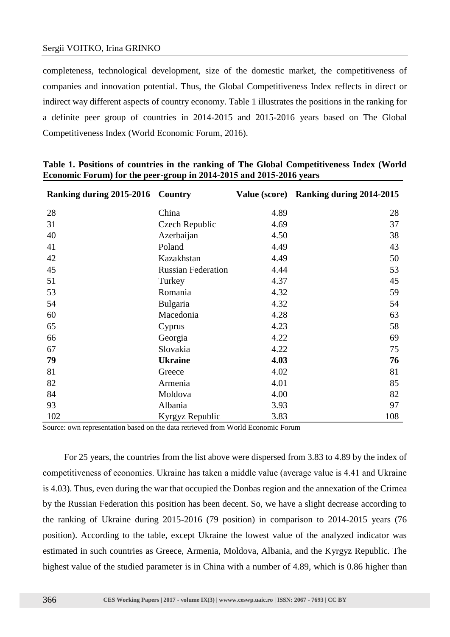completeness, technological development, size of the domestic market, the competitiveness of companies and innovation potential. Thus, the Global Competitiveness Index reflects in direct or indirect way different aspects of country economy. Table 1 illustrates the positions in the ranking for a definite peer group of countries in 2014-2015 and 2015-2016 years based on The Global Competitiveness Index (World Economic Forum, 2016).

| Ranking during 2015-2016 Country |                           |      | Value (score) Ranking during 2014-2015 |
|----------------------------------|---------------------------|------|----------------------------------------|
| 28                               | China                     | 4.89 | 28                                     |
| 31                               | Czech Republic            | 4.69 | 37                                     |
| 40                               | Azerbaijan                | 4.50 | 38                                     |
| 41                               | Poland                    | 4.49 | 43                                     |
| 42                               | Kazakhstan                | 4.49 | 50                                     |
| 45                               | <b>Russian Federation</b> | 4.44 | 53                                     |
| 51                               | Turkey                    | 4.37 | 45                                     |
| 53                               | Romania                   | 4.32 | 59                                     |
| 54                               | Bulgaria                  | 4.32 | 54                                     |
| 60                               | Macedonia                 | 4.28 | 63                                     |
| 65                               | Cyprus                    | 4.23 | 58                                     |
| 66                               | Georgia                   | 4.22 | 69                                     |
| 67                               | Slovakia                  | 4.22 | 75                                     |
| 79                               | <b>Ukraine</b>            | 4.03 | 76                                     |
| 81                               | Greece                    | 4.02 | 81                                     |
| 82                               | Armenia                   | 4.01 | 85                                     |
| 84                               | Moldova                   | 4.00 | 82                                     |
| 93                               | Albania                   | 3.93 | 97                                     |
| 102                              | Kyrgyz Republic           | 3.83 | 108                                    |

**Table 1. Positions of countries in the ranking of The Global Competitiveness Index (World Economic Forum) for the peer-group in 2014-2015 аnd 2015-2016 years**

Source: own representation based on the data retrieved from World Economic Forum

For 25 years, the countries from the list above were dispersed from 3.83 to 4.89 by the index of competitiveness of economies. Ukraine has taken а middle value (average value is 4.41 and Ukraine is 4.03). Thus, even during the war that occupied the Donbas region and the annexation of the Crimea by the Russian Federation this position has been decent. So, we have a slight decrease according to the ranking of Ukraine during 2015-2016 (79 position) in comparison to 2014-2015 years (76 position). According to the table, except Ukraine the lowest value of the analyzed indicator was estimated in such countries as Greece, Armenia, Moldova, Albania, and the Kyrgyz Republic. The highest value of the studied parameter is in China with a number of 4.89, which is 0.86 higher than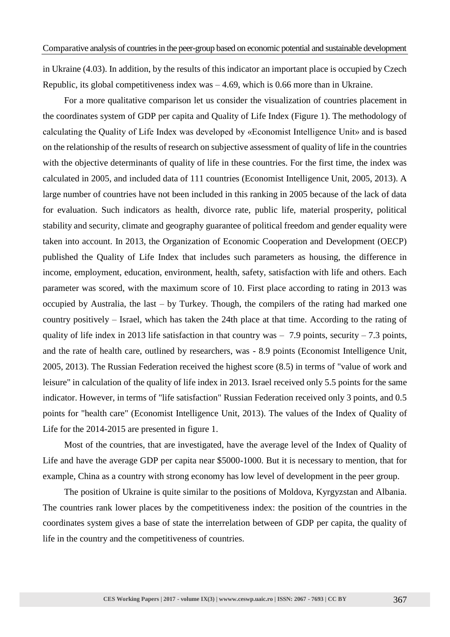in Ukraine (4.03). In addition, by the results of this indicator an important place is occupied by Czech Republic, its global competitiveness index was  $-4.69$ , which is 0.66 more than in Ukraine.

For a more qualitative comparison let us consider the visualization of countries placement in the coordinates system of GDP per capita and Quality of Life Index (Figure 1). The methodology of calculating the Quality of Life Index was developed by «Economist Intelligence Unit» and is based on the relationship of the results of research on subjective assessment of quality of life in the countries with the objective determinants of quality of life in these countries. For the first time, the index was calculated in 2005, and included data of 111 countries (Economist Intelligence Unit, 2005, 2013). A large number of countries have not been included in this ranking in 2005 because of the lack of data for evaluation. Such indicators as health, divorce rate, public life, material prosperity, political stability and security, climate and geography guarantee of political freedom and gender equality were taken into account. In 2013, the Organization of Economic Cooperation and Development (OECP) published the Quality of Life Index that includes such parameters as housing, the difference in income, employment, education, environment, health, safety, satisfaction with life and others. Each parameter was scored, with the maximum score of 10. First place according to rating in 2013 was occupied by Australia, the last – by Turkey. Though, the compilers of the rating had marked one country positively – Israel, which has taken the 24th place at that time. According to the rating of quality of life index in 2013 life satisfaction in that country was  $-7.9$  points, security  $-7.3$  points, and the rate of health care, outlined by researchers, was - 8.9 points (Economist Intelligence Unit, 2005, 2013). The Russian Federation received the highest score (8.5) in terms of "value of work and leisure" in calculation of the quality of life index in 2013. Israel received only 5.5 points for the same indicator. However, in terms of "life satisfaction" Russian Federation received only 3 points, and 0.5 points for "health care" (Economist Intelligence Unit, 2013). The values of the Index of Quality of Life for the 2014-2015 are presented in figure 1.

Most of the countries, that are investigated, have the average level of the Index of Quality of Life and have the average GDP per capita near \$5000-1000. But it is necessary to mention, that for example, China as a country with strong economy has low level of development in the peer group.

The position of Ukraine is quite similar to the positions of Moldova, Kyrgyzstan and Albania. The countries rank lower places by the competitiveness index: the position of the countries in the coordinates system gives a base of state the interrelation between of GDP per capita, the quality of life in the country and the competitiveness of countries.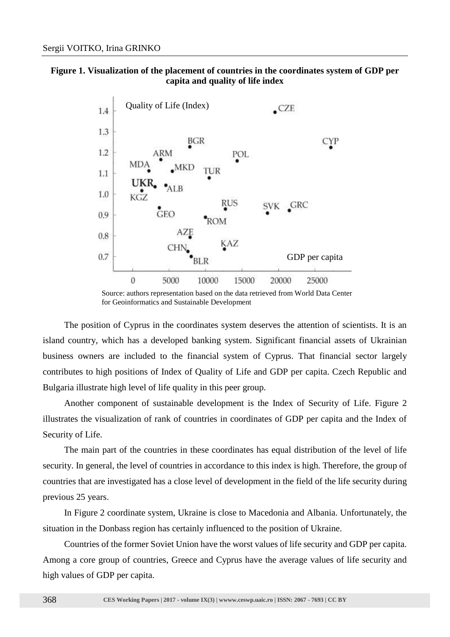## **Figure 1. Visualization of the placement of countries in the coordinates system of GDP per capita and quality of life index**



Source: authors representation based on the data retrieved from World Data Center for Geoinformatics and Sustainable Development

The position of Cyprus in the coordinates system deserves the attention of scientists. It is an island country, which has a developed banking system. Significant financial assets of Ukrainian business owners are included to the financial system of Cyprus. That financial sector largely contributes to high positions of Index of Quality of Life and GDP per capita. Czech Republic and Bulgaria illustrate high level of life quality in this peer group.

Another component of sustainable development is the Index of Security of Life. Figure 2 illustrates the visualization of rank of countries in coordinates of GDP per capita and the Index of Security of Life.

The main part of the countries in these coordinates has equal distribution of the level of life security. In general, the level of countries in accordance to this index is high. Therefore, the group of countries that are investigated has a close level of development in the field of the life security during previous 25 years.

In Figure 2 coordinate system, Ukraine is close to Macedonia and Albania. Unfortunately, the situation in the Donbass region has certainly influenced to the position of Ukraine.

Countries of the former Soviet Union have the worst values of life security and GDP per capita. Among a core group of countries, Greece and Cyprus have the average values of life security and high values of GDP per capita.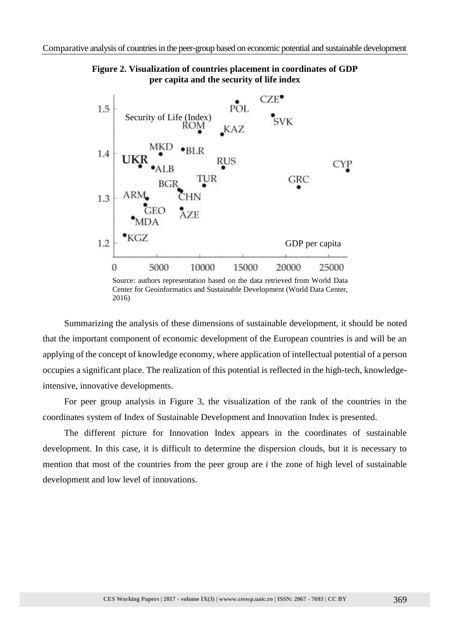

**Figure 2. Visualization of countries placement in coordinates of GDP per capita and the security of life index**

Center for Geoinformatics and Sustainable Development (World Data Center, 2016)

Summarizing the analysis of these dimensions of sustainable development, it should be noted that the important component of economic development of the European countries is and will be an applying of the concept of knowledge economy, where application of intellectual potential of a person occupies a significant place. The realization of this potential is reflected in the high-tech, knowledgeintensive, innovative developments.

For peer group analysis in Figure 3, the visualization of the rank of the countries in the coordinates system of Index of Sustainable Development and Innovation Index is presented.

The different picture for Innovation Index appears in the coordinates of sustainable development. In this case, it is difficult to determine the dispersion clouds, but it is necessary to mention that most of the countries from the peer group are *i* the zone of high level of sustainable development and low level of innovations.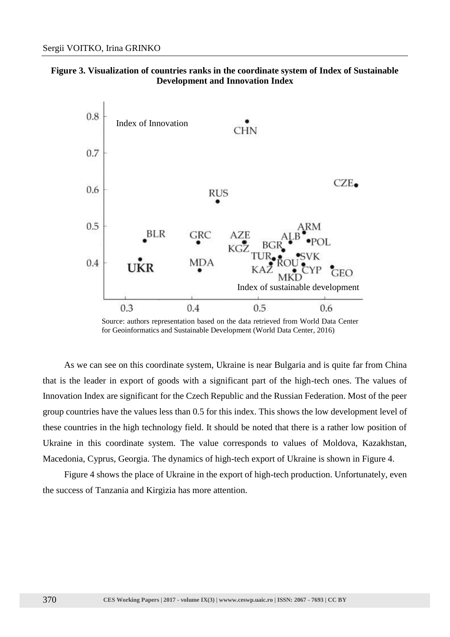



Source: authors representation based on the data retrieved from World Data Center for Geoinformatics and Sustainable Development (World Data Center, 2016)

As we can see on this coordinate system, Ukraine is near Bulgaria and is quite far from China that is the leader in export of goods with a significant part of the high-tech ones. The values of Innovation Index are significant for the Czech Republic and the Russian Federation. Most of the peer group countries have the values less than 0.5 for this index. This shows the low development level of these countries in the high technology field. It should be noted that there is a rather low position of Ukraine in this coordinate system. The value corresponds to values of Moldova, Kazakhstan, Macedonia, Cyprus, Georgia. The dynamics of high-tech export of Ukraine is shown in Figure 4.

Figure 4 shows the place of Ukraine in the export of high-tech production. Unfortunately, even the success of Tanzania and Kirgizia has more attention.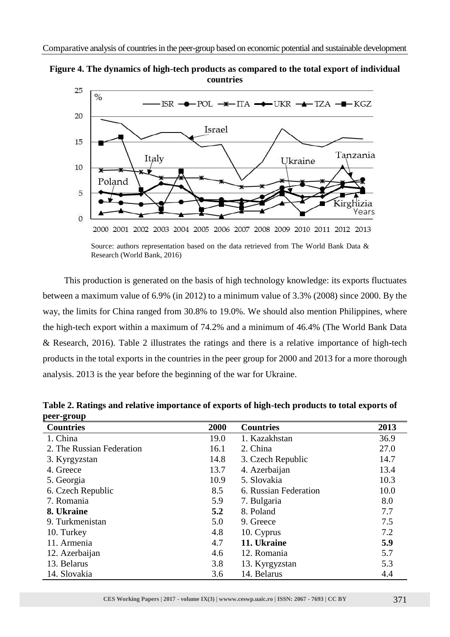



Source: authors representation based on the data retrieved from The World Bank Data & Research (World Bank, 2016)

This production is generated on the basis of high technology knowledge: its exports fluctuates between a maximum value of 6.9% (in 2012) to a minimum value of 3.3% (2008) since 2000. By the way, the limits for China ranged from 30.8% to 19.0%. We should also mention Philippines, where the high-tech export within a maximum of 74.2% and a minimum of 46.4% (The World Bank Data & Research, 2016). Table 2 illustrates the ratings and there is a relative importance of high-tech products in the total exports in the countries in the peer group for 2000 and 2013 for a more thorough analysis. 2013 is the year before the beginning of the war for Ukraine.

| peer-group                |      |                       |      |  |  |
|---------------------------|------|-----------------------|------|--|--|
| <b>Countries</b>          | 2000 | <b>Countries</b>      | 2013 |  |  |
| 1. China                  | 19.0 | 1. Kazakhstan         | 36.9 |  |  |
| 2. The Russian Federation | 16.1 | 2. China              | 27.0 |  |  |
| 3. Kyrgyzstan             | 14.8 | 3. Czech Republic     | 14.7 |  |  |
| 4. Greece                 | 13.7 | 4. Azerbaijan         | 13.4 |  |  |
| 5. Georgia                | 10.9 | 5. Slovakia           | 10.3 |  |  |
| 6. Czech Republic         | 8.5  | 6. Russian Federation | 10.0 |  |  |
| 7. Romania                | 5.9  | 7. Bulgaria           | 8.0  |  |  |
| 8. Ukraine                | 5.2  | 8. Poland             | 7.7  |  |  |
| 9. Turkmenistan           | 5.0  | 9. Greece             | 7.5  |  |  |
| 10. Turkey                | 4.8  | 10. Cyprus            | 7.2  |  |  |
| 11. Armenia               | 4.7  | 11. Ukraine           | 5.9  |  |  |
| 12. Azerbaijan            | 4.6  | 12. Romania           | 5.7  |  |  |
| 13. Belarus               | 3.8  | 13. Kyrgyzstan        | 5.3  |  |  |
| 14. Slovakia              | 3.6  | 14. Belarus           | 4.4  |  |  |

**Table 2. Ratings and relative importance of exports of high-tech products to total exports of peer-group**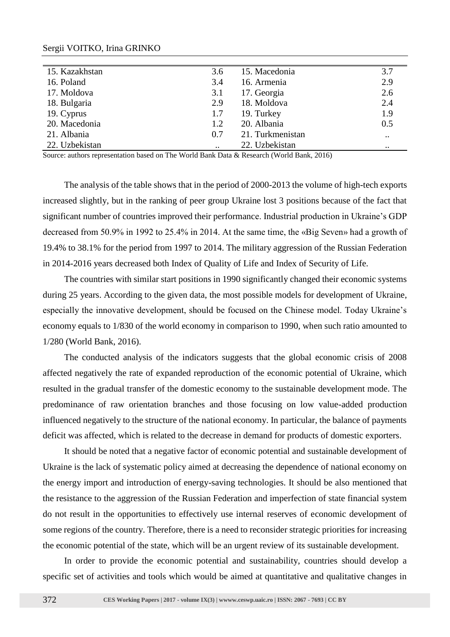| 15. Kazakhstan | 3.6       | 15. Macedonia    | 3.7       |
|----------------|-----------|------------------|-----------|
| 16. Poland     | 3.4       | 16. Armenia      | 2.9       |
| 17. Moldova    | 3.1       | 17. Georgia      | 2.6       |
| 18. Bulgaria   | 2.9       | 18. Moldova      | 2.4       |
| 19. Cyprus     | 1.7       | 19. Turkey       | 1.9       |
| 20. Macedonia  | 1.2       | 20. Albania      | 0.5       |
| 21. Albania    | 0.7       | 21. Turkmenistan | $\ddotsc$ |
| 22. Uzbekistan | $\cdot$ . | 22. Uzbekistan   | $\ddotsc$ |

## Sergii VOITKO, Irina GRINKO

Source: authors representation based on The World Bank Data & Research (World Bank, 2016)

The analysis of the table shows that in the period of 2000-2013 the volume of high-tech exports increased slightly, but in the ranking of peer group Ukraine lost 3 positions because of the fact that significant number of countries improved their performance. Industrial production in Ukraine's GDP decreased from 50.9% in 1992 to 25.4% in 2014. At the same time, the «Big Seven» had a growth of 19.4% to 38.1% for the period from 1997 to 2014. The military aggression of the Russian Federation in 2014-2016 years decreased both Index of Quality of Life and Index of Security of Life.

The countries with similar start positions in 1990 significantly changed their economic systems during 25 years. According to the given data, the most possible models for development of Ukraine, especially the innovative development, should be focused on the Chinese model. Today Ukraine's economy equals to 1/830 of the world economy in comparison to 1990, when such ratio amounted to 1/280 (World Bank, 2016).

The conducted analysis of the indicators suggests that the global economic crisis of 2008 affected negatively the rate of expanded reproduction of the economic potential of Ukraine, which resulted in the gradual transfer of the domestic economy to the sustainable development mode. The predominance of raw orientation branches and those focusing on low value-added production influenced negatively to the structure of the national economy. In particular, the balance of payments deficit was affected, which is related to the decrease in demand for products of domestic exporters.

It should be noted that a negative factor of economic potential and sustainable development of Ukraine is the lack of systematic policy aimed at decreasing the dependence of national economy on the energy import and introduction of energy-saving technologies. It should be also mentioned that the resistance to the aggression of the Russian Federation and imperfection of state financial system do not result in the opportunities to effectively use internal reserves of economic development of some regions of the country. Therefore, there is a need to reconsider strategic priorities for increasing the economic potential of the state, which will be an urgent review of its sustainable development.

In order to provide the economic potential and sustainability, countries should develop a specific set of activities and tools which would be aimed at quantitative and qualitative changes in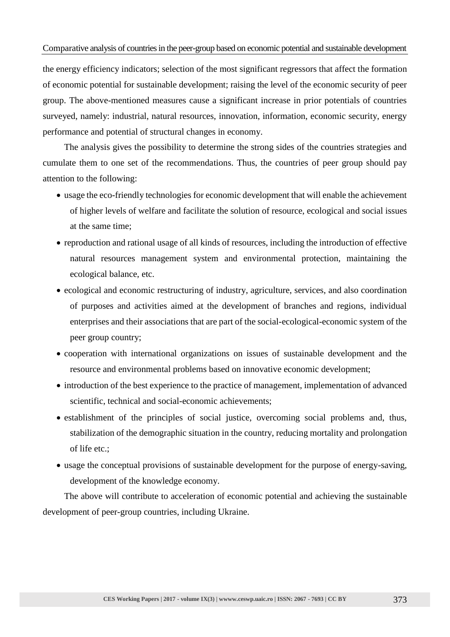## Comparative analysis of countries in the peer-group based on economic potential and sustainable development

the energy efficiency indicators; selection of the most significant regressors that affect the formation of economic potential for sustainable development; raising the level of the economic security of peer group. The above-mentioned measures cause a significant increase in prior potentials of countries surveyed, namely: industrial, natural resources, innovation, information, economic security, energy performance and potential of structural changes in economy.

The analysis gives the possibility to determine the strong sides of the countries strategies and cumulate them to one set of the recommendations. Thus, the countries of peer group should pay attention to the following:

- usage the eco-friendly technologies for economic development that will enable the achievement of higher levels of welfare and facilitate the solution of resource, ecological and social issues at the same time;
- reproduction and rational usage of all kinds of resources, including the introduction of effective natural resources management system and environmental protection, maintaining the ecological balance, etc.
- ecological and economic restructuring of industry, agriculture, services, and also coordination of purposes and activities aimed at the development of branches and regions, individual enterprises and their associations that are part of the social-ecological-economic system of the peer group country;
- cooperation with international organizations on issues of sustainable development and the resource and environmental problems based on innovative economic development;
- introduction of the best experience to the practice of management, implementation of advanced scientific, technical and social-economic achievements;
- establishment of the principles of social justice, overcoming social problems and, thus, stabilization of the demographic situation in the country, reducing mortality and prolongation of life etc.;
- usage the conceptual provisions of sustainable development for the purpose of energy-saving, development of the knowledge economy.

The above will contribute to acceleration of economic potential and achieving the sustainable development of peer-group countries, including Ukraine.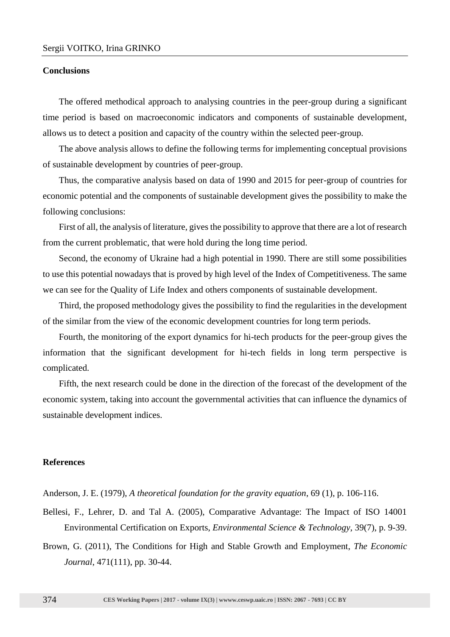## **Conclusions**

The offered methodical approach to analysing countries in the peer-group during a significant time period is based on macroeconomic indicators and components of sustainable development, allows us to detect a position and capacity of the country within the selected peer-group.

The above analysis allows to define the following terms for implementing conceptual provisions of sustainable development by countries of peer-group.

Thus, the comparative analysis based on data of 1990 and 2015 for peer-group of countries for economic potential and the components of sustainable development gives the possibility to make the following conclusions:

First of all, the analysis of literature, gives the possibility to approve that there are a lot of research from the current problematic, that were hold during the long time period.

Second, the economy of Ukraine had a high potential in 1990. There are still some possibilities to use this potential nowadays that is proved by high level of the Index of Competitiveness. The same we can see for the Quality of Life Index and others components of sustainable development.

Third, the proposed methodology gives the possibility to find the regularities in the development of the similar from the view of the economic development countries for long term periods.

Fourth, the monitoring of the export dynamics for hi-tech products for the peer-group gives the information that the significant development for hi-tech fields in long term perspective is complicated.

Fifth, the next research could be done in the direction of the forecast of the development of the economic system, taking into account the governmental activities that can influence the dynamics of sustainable development indices.

## **References**

Anderson, J. E. (1979), *A theoretical foundation for the gravity equation*, 69 (1), p. 106-116.

- Bellesi, F., Lehrer, D. and Tal A. (2005), Comparative Advantage: The Impact of ISO 14001 Environmental Certification on Exports, *Environmental Science & Technology*, 39(7), p. 9-39.
- Brown, G. (2011), The Conditions for High and Stable Growth and Employment, *The Economic Journal*, 471(111), pp. 30-44.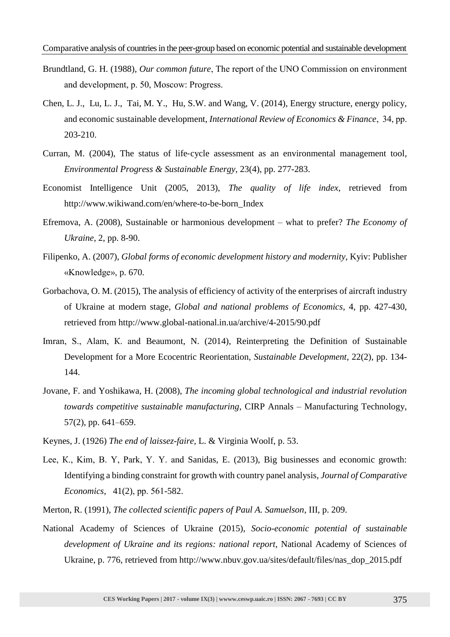- Brundtland, G. H. (1988), *Our common future*, The report of the UNО Commission on environment and development, р. 50, Moscow: Progress.
- Chen, L. J., Lu, L. J., Tai, M. Y., Hu, S.W. and Wang, V. (2014), Energy structure, energy policy, and economic sustainable development, *International Review of Economics & Finance*, 34, рр. 203-210.
- Curran, M. (2004), The status of life-cycle assessment as an environmental management tool, *Environmental Progress & Sustainable Energy*, 23(4), pp. 277-283.
- Economist Intelligence Unit (2005, 2013), *The quality of life index*, retrieved from http://www.wikiwand.com/en/where-to-be-born\_Index
- Efremova, A. (2008), Sustainable or harmonious development what to prefer? *The Economy of Ukraine*, 2, pp. 8-90.
- Filipenko, A. (2007), *Global forms of economic development history and modernity*, Kyiv: Publisher «Knowledge», p. 670.
- Gorbachova, O. M. (2015), The analysis of efficiency of activity of the enterprises of aircraft industry of Ukraine at modern stage, *Global and national problems of Economics*, 4, pp. 427-430, retrieved from http://www.global-national.in.ua/archive/4-2015/90.pdf
- Imran, S., Alam, К. and Beaumont, N. (2014), Reinterpreting the Definition of Sustainable Development for a More Ecocentric Reorientation, *Sustainable Development*, 22(2), pp. 134- 144.
- Jovane, F. and Yoshikawa, H. (2008), *The incoming global technological and industrial revolution towards competitive sustainable manufacturing*, CIRP Annals – Manufacturing Technology, 57(2), pp. 641–659.
- Keynes, J. (1926) *The end of laissez-faire,* L. & Virginia Woolf, p. 53.
- Lee, К., Kim, B. Y, Park, Y. Y. and Sanidas, E. (2013), Big businesses and economic growth: Identifying a binding constraint for growth with country panel analysis, *Journal of Comparative Economics*, 41(2), рр. 561-582.
- Merton, R. (1991), *The collected scientific papers of Paul A. Samuelson*, III, p. 209.
- National Academy of Sciences of Ukraine (2015), *Socio-economic potential of sustainable development of Ukraine and its regions: national report*, National Academy of Sciences of Ukraine, p. 776, retrieved from http://www.nbuv.gov.ua/sites/default/files/nas\_dop\_2015.pdf